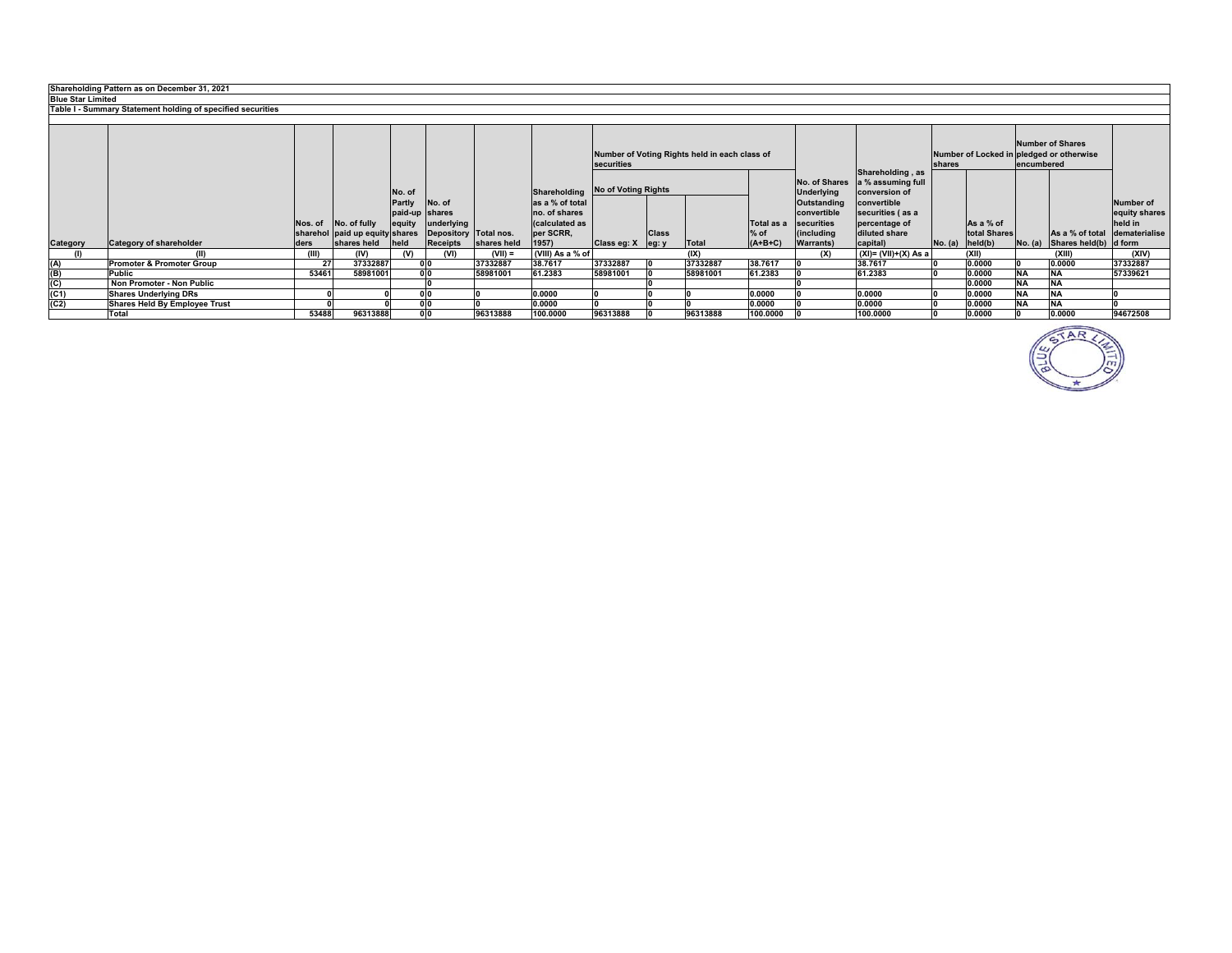|                                                             | Shareholding Pattern as on December 31, 2021                |         |                                |                |                       |             |                  |                            |              |          |            |                                    |                                                        |  |                     |                                                                     |                               |               |
|-------------------------------------------------------------|-------------------------------------------------------------|---------|--------------------------------|----------------|-----------------------|-------------|------------------|----------------------------|--------------|----------|------------|------------------------------------|--------------------------------------------------------|--|---------------------|---------------------------------------------------------------------|-------------------------------|---------------|
| <b>Blue Star Limited</b>                                    |                                                             |         |                                |                |                       |             |                  |                            |              |          |            |                                    |                                                        |  |                     |                                                                     |                               |               |
| Table I - Summary Statement holding of specified securities |                                                             |         |                                |                |                       |             |                  |                            |              |          |            |                                    |                                                        |  |                     |                                                                     |                               |               |
|                                                             |                                                             |         |                                |                |                       |             |                  |                            |              |          |            |                                    |                                                        |  |                     |                                                                     |                               |               |
|                                                             | Number of Voting Rights held in each class of<br>securities |         |                                |                |                       |             |                  |                            |              |          |            |                                    | shares                                                 |  | encumbered          | <b>Number of Shares</b><br>Number of Locked in pledged or otherwise |                               |               |
|                                                             |                                                             |         |                                | No. of         |                       |             | Shareholding     | <b>No of Voting Rights</b> |              |          |            | No. of Shares<br><b>Underlying</b> | Shareholding, as<br>a % assuming full<br>conversion of |  |                     |                                                                     |                               |               |
|                                                             |                                                             |         |                                | Partly         | No. of                |             | as a % of total  |                            |              |          |            | Outstanding                        | convertible                                            |  |                     |                                                                     |                               | Number of     |
|                                                             |                                                             |         |                                | paid-up shares |                       |             | no. of shares    |                            |              |          |            | convertible                        | securities (as a                                       |  |                     |                                                                     |                               | equity shares |
|                                                             |                                                             | Nos. of | No. of fully                   | equity         | underlying            |             | (calculated as   |                            |              |          | Total as a | securities                         | percentage of                                          |  | As a % of           |                                                                     |                               | held in       |
|                                                             |                                                             |         | sharehol paid up equity shares |                | Depository Total nos. |             | per SCRR,        |                            | <b>Class</b> |          | $%$ of     | (including                         | diluted share                                          |  | total Shares        |                                                                     | As a % of total dematerialise |               |
| Category                                                    | <b>Category of shareholder</b>                              | ders    | shares held                    | <b>held</b>    | <b>Receipts</b>       | shares held | 1957)            | Class eg: X eg: y          |              | Total    | $(A+B+C)$  | <b>Warrants</b> )                  | capital)                                               |  | $No. (a)$ $held(b)$ |                                                                     | No. (a) Shares held(b) d form |               |
| (1)                                                         | (II)                                                        | (III)   | (IV)                           | (3)            | (VI)                  | $(VII) =$   | (VIII) As a % of |                            |              | (IX)     |            | (X)                                | $(XI) = (VII)+(X) As a$                                |  | (XII)               |                                                                     | (XIII)                        | (XIV)         |
| (A)                                                         | <b>Promoter &amp; Promoter Group</b>                        | 27      | 37332887                       |                | 0 <sub>0</sub>        | 37332887    | 38.7617          | 37332887                   |              | 37332887 | 38.7617    |                                    | 38.7617                                                |  | 0.0000              |                                                                     | 0.0000                        | 37332887      |
| $\frac{\mathsf{(B)}}{\mathsf{(C)}}$                         | Public                                                      | 53461   | 58981001                       |                | 0 <sub>0</sub>        | 58981001    | 61.2383          | 58981001                   |              | 58981001 | 61.2383    |                                    | 61.2383                                                |  | 0.0000              | <b>NA</b>                                                           |                               | 57339621      |
|                                                             | Non Promoter - Non Public                                   |         |                                |                |                       |             |                  |                            |              |          |            |                                    |                                                        |  | 0.0000              | <b>NA</b>                                                           |                               |               |
| (C1)                                                        | <b>Shares Underlying DRs</b>                                |         |                                |                |                       |             | 0.0000           |                            |              |          | 0.0000     |                                    | 0.0000                                                 |  | 0.0000              | <b>NA</b>                                                           | <b>NA</b>                     |               |
| (C2)                                                        | <b>Shares Held By Employee Trust</b>                        |         |                                |                | nin                   |             | 0.0000           |                            |              |          | 0.0000     |                                    | 0.0000                                                 |  | 0.0000              | <b>NA</b>                                                           |                               |               |
|                                                             | Total                                                       | 53488   | 96313888                       |                | 0 <sub>0</sub>        | 96313888    | 100.0000         | 96313888                   |              | 96313888 | 100.0000   |                                    | 100.0000                                               |  | 0.0000              |                                                                     | 0.0000                        | 94672508      |

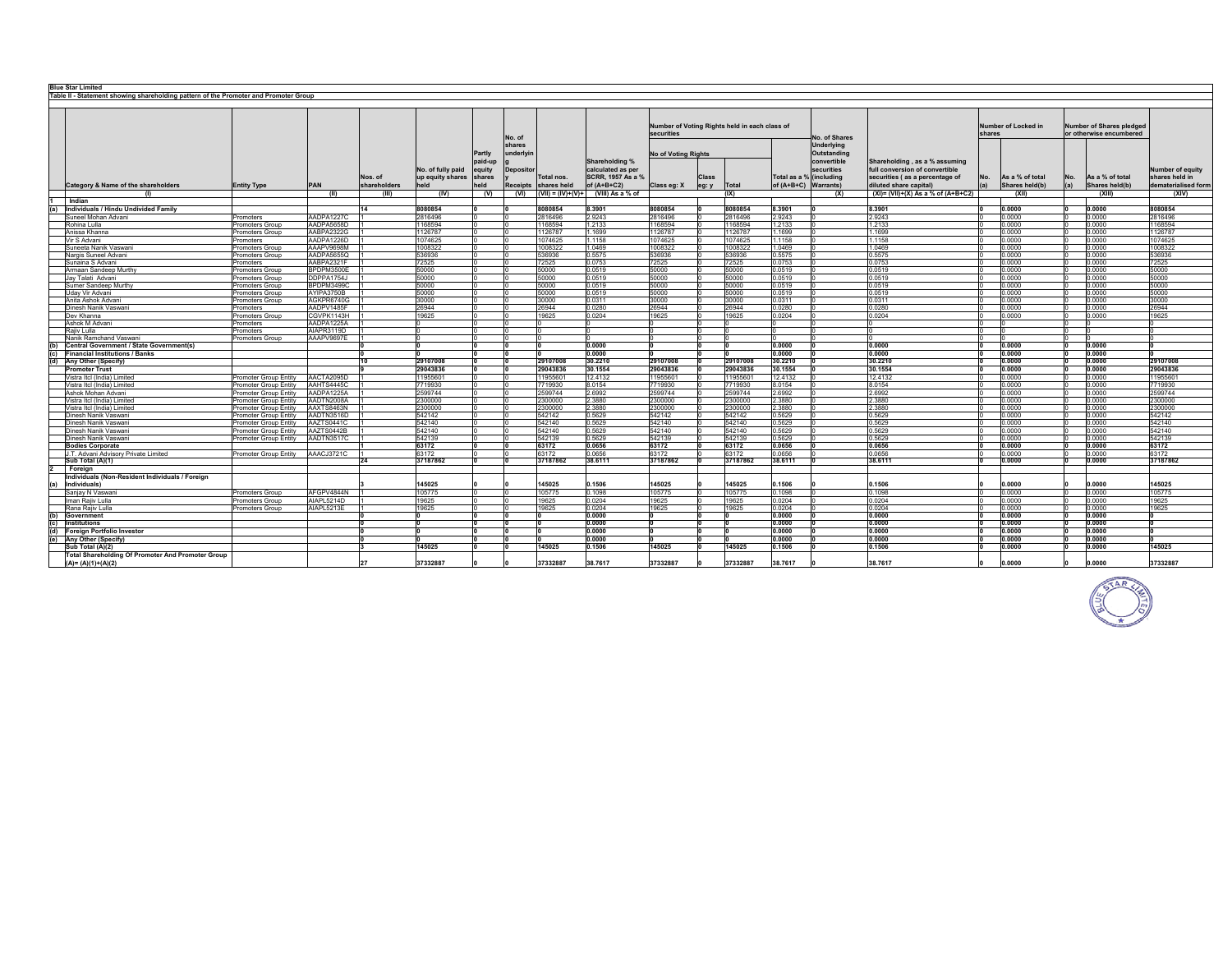| <b>Blue Star Limited</b><br>Table II - Statement showing shareholding pattern of the Promoter and Promoter Group |                                                           |                                               |                          |              |                    |                          |                  |                                    |                                     |                                               |       |                    |                         |                                                                                |                                       |        |                     |     |                                 |                              |
|------------------------------------------------------------------------------------------------------------------|-----------------------------------------------------------|-----------------------------------------------|--------------------------|--------------|--------------------|--------------------------|------------------|------------------------------------|-------------------------------------|-----------------------------------------------|-------|--------------------|-------------------------|--------------------------------------------------------------------------------|---------------------------------------|--------|---------------------|-----|---------------------------------|------------------------------|
|                                                                                                                  |                                                           |                                               |                          |              |                    |                          |                  |                                    |                                     |                                               |       |                    |                         |                                                                                |                                       |        |                     |     |                                 |                              |
|                                                                                                                  |                                                           |                                               |                          |              |                    |                          |                  |                                    |                                     |                                               |       |                    |                         |                                                                                |                                       |        |                     |     |                                 |                              |
|                                                                                                                  |                                                           |                                               |                          |              |                    |                          |                  |                                    |                                     | Number of Voting Rights held in each class of |       |                    |                         |                                                                                |                                       |        | Number of Locked in |     | <b>Number of Shares pledged</b> |                              |
|                                                                                                                  |                                                           |                                               |                          |              |                    | <b>Partly</b><br>paid-up |                  |                                    |                                     | securities                                    |       |                    |                         |                                                                                |                                       | shares |                     |     | or otherwise encumbered         |                              |
|                                                                                                                  |                                                           |                                               |                          |              | No. of fully paid  |                          | No. of<br>shares |                                    |                                     |                                               |       |                    |                         | No. of Shares<br><b>Underlying</b><br>Outstanding<br>convertible<br>securities |                                       |        |                     |     |                                 |                              |
|                                                                                                                  |                                                           |                                               |                          |              |                    |                          | underlvi         |                                    | Shareholding %<br>calculated as per | <b>No of Voting Rights</b>                    |       |                    |                         |                                                                                | Shareholding, as a % assuming         |        |                     |     |                                 |                              |
|                                                                                                                  |                                                           |                                               |                          |              |                    |                          |                  |                                    |                                     |                                               |       |                    |                         |                                                                                |                                       |        |                     |     |                                 |                              |
|                                                                                                                  |                                                           |                                               |                          |              |                    | equity                   | <b>Depositor</b> |                                    |                                     |                                               |       |                    |                         |                                                                                | full conversion of convertible        |        |                     |     |                                 | Number of equity             |
|                                                                                                                  |                                                           |                                               |                          | Nos. of      | up equity shares   | shares                   |                  | Total nos.                         | SCRR, 1957 As a %                   |                                               | Class |                    | Total as a % (including |                                                                                | securities (as a percentage of        | No.    | As a % of total     | No. | As a % of total                 | shares held in               |
|                                                                                                                  | Category & Name of the shareholders                       | <b>Entity Type</b>                            | <b>PAN</b>               | shareholders |                    | held                     | <b>Receipts</b>  | shares held<br>$(VII) = (IV)+(V)+$ | of (A+B+C2)                         | Class eg: X                                   | eg: y | Total<br>(IX)      | of (A+B+C) Warrants)    |                                                                                | diluted share capital)                | (a)    | Shares held(b)      | (a) | Shares held(b)                  | dematerialised form<br>(XIV) |
|                                                                                                                  | Indian                                                    |                                               | (11)                     |              | (IV)               | (V)                      | (VI)             |                                    | (VIII) As a % of                    |                                               |       |                    |                         | (X)                                                                            | $(XI) = (VII)+(X) As a % of (A+B+C2)$ |        | (XII)               |     | (XIII)                          |                              |
| (a)                                                                                                              | Individuals / Hindu Undivided Family                      |                                               |                          | 14           | 8080854            |                          |                  | 8080854                            | 8.3901                              | 8080854                                       |       | 8080854            | 8.3901                  |                                                                                | 8.3901                                |        | 0.0000              |     | 0.0000                          | 8080854                      |
|                                                                                                                  | Suneel Mohan Advani                                       | Promoters                                     | AADPA1227C               |              | 2816496            |                          |                  | 816496                             | 2.9243                              | 2816496                                       |       | 2816496            | 2.9243                  |                                                                                | 9243                                  |        | 0.0000              |     | 0.0000                          | 2816496                      |
|                                                                                                                  | Rohina Lulla                                              | Promoters Group                               | AADPA5658D               |              | 1168594            |                          |                  | 168594                             | 1.2133                              | 1168594                                       |       | 1168594            | 1.2133                  |                                                                                | 1.2133                                |        | 0.0000              |     | 0.0000                          | 1168594                      |
|                                                                                                                  | Anissa Khanna                                             | romoters Group                                | AABPA2322G               |              | 1126787            |                          |                  | 126787                             | 1.1699                              | 1126787                                       |       | 1126787            | .1699                   |                                                                                | .1699                                 |        | 0.0000              |     | 0.0000                          | 1126787                      |
|                                                                                                                  | Vir S Advani                                              | Promoters                                     | AADPA1226D               |              | 1074625<br>1008322 |                          |                  | 1074625                            | 1.1158                              | 1074625                                       |       | 1074625            | 1.1158                  |                                                                                | .1158                                 |        | 0.0000              |     | 0.0000                          | 1074625<br>1008322           |
|                                                                                                                  | Suneeta Nanik Vaswani<br>Nargis Suneel Advani             | romoters Group<br>Promoters Group             | AAAPV9698M<br>AADPA5655Q |              | 536936             |                          |                  | 008322<br>536936                   | 1.0469<br>0.5575                    | 1008322<br>536936                             |       | 1008322<br>536936  | .0469<br>0.5575         |                                                                                | .0469<br>0.5575                       |        | 0.0000<br>0.0000    |     | 0.0000<br>0.0000                | 536936                       |
|                                                                                                                  | Sunaina S Advani                                          | romoters                                      | AABPA2321F               |              | 72525              |                          |                  | 72525                              | 0.0753                              | 72525                                         |       | 72525              | 0.0753                  |                                                                                | 0.0753                                |        | 0.0000              |     | 0.0000                          | 72525                        |
|                                                                                                                  | Armaan Sandeep Murthy                                     | Promoters Group                               | BPDPM3500E               |              | 50000              |                          |                  | 50000                              | 0.0519                              | 50000                                         |       | 50000              | 0.0519                  |                                                                                | 0.0519                                |        | 0.0000              |     | 0.0000                          | 50000                        |
|                                                                                                                  | Jav Talati Advani                                         | romoters Group                                | DDPPA1754J               |              | 50000              |                          |                  | 50000                              | 0.0519                              | 50000                                         |       | 50000              | 0.0519                  |                                                                                | 0.0519                                |        | 0.0000              |     | 0.0000                          | 50000                        |
|                                                                                                                  | Sumer Sandeep Murthy                                      | Promoters Group                               | BPDPM3499C               |              | 50000              |                          |                  | 50000                              | 0.0519                              | 50000                                         |       | 50000              | 0.0519                  |                                                                                | 0.0519                                |        | 0.0000              |     | 0.0000                          | 50000                        |
|                                                                                                                  | Uday Vir Advani                                           | Promoters Group                               | AYIPA3750B               |              | 50000              |                          |                  | 50000                              | 0.0519                              | 50000                                         |       | 50000              | 0.0519                  |                                                                                | 0.0519                                |        | 0.0000              |     | 0.0000                          | 50000                        |
|                                                                                                                  | Anita Ashok Advani                                        | Promoters Group                               | AGKPR6740G               |              | 30000              |                          |                  | 30000                              | 0.0311                              | 30000                                         |       | 30000              | 0.0311                  |                                                                                | 0.0311                                |        | 0.0000              |     | 0.0000                          | 30000                        |
|                                                                                                                  | Dinesh Nanik Vaswani                                      | Promoters                                     | AADPV1485F               |              | 26944              |                          |                  | 26944                              | 0.0280                              | 26944<br>19625                                |       | 26944              | 0.0280<br>0.0204        |                                                                                | 0.0280                                |        | 0.0000<br>0000.     |     | 0.0000<br>0000.                 | 26944                        |
|                                                                                                                  | Dev Khanna<br>Ashok M Advani                              | Promoters Group<br>romoters                   | CGVPK1143H<br>AADPA1225A |              | 19625              |                          |                  | 19625                              | 0.0204                              |                                               |       | 19625              |                         |                                                                                | 0.204                                 |        |                     |     |                                 | 19625                        |
|                                                                                                                  | Raiiv Lulla                                               | romoters                                      | AIAPR3119D               |              |                    |                          |                  |                                    |                                     |                                               |       |                    |                         |                                                                                |                                       |        |                     |     |                                 |                              |
|                                                                                                                  | Nanik Ramchand Vaswani                                    | romoters Group                                | AAAPV9697E               |              |                    |                          |                  |                                    |                                     |                                               |       |                    |                         |                                                                                |                                       |        |                     |     |                                 |                              |
|                                                                                                                  | <b>Central Government / State Government(s)</b>           |                                               |                          |              |                    |                          |                  |                                    | 0.0000                              |                                               |       |                    | 0.0000                  |                                                                                | 0.0000                                |        | 0.0000              |     | 0.0000                          |                              |
| (c)                                                                                                              | <b>Financial Institutions / Banks</b>                     |                                               |                          |              |                    |                          |                  |                                    | 0.0000                              |                                               |       |                    | 0.0000                  |                                                                                | 0.0000                                |        | 0.0000              |     | 0.0000                          |                              |
| (d)                                                                                                              | Any Other (Specify)                                       |                                               |                          | 10           | 29107008           |                          | ١o               | 29107008                           | 30.2210                             | 29107008                                      |       | 29107008           | 30.2210                 |                                                                                | 30.2210                               |        | 0.0000              |     | 0.0000                          | 29107008                     |
|                                                                                                                  | <b>Promoter Trust</b>                                     |                                               |                          |              | 29043836           |                          |                  | 29043836                           | 30.1554                             | 29043836                                      |       | 29043836           | 30.1554                 |                                                                                | 30.1554                               |        | 0.0000              |     | 0.0000                          | 29043836                     |
|                                                                                                                  | Vistra Itcl (India) Limited                               | Promoter Group Entity                         | AACTA2095D               |              | 11955601           |                          |                  | 11955601                           | 12.4132                             | 11955601                                      |       | 11955601           | 12.4132                 |                                                                                | 12.4132                               |        | 0.0000              |     | 0.0000<br>2,0000                | 11955601                     |
|                                                                                                                  | Vistra Itcl (India) Limited<br>Ashok Mohan Advani         | romoter Group Entity<br>Promoter Group Entity | AAHTS4445C<br>AADPA1225A |              | 7719930<br>2599744 |                          |                  | 719930<br>2599744                  | 8.0154<br>2.6992                    | 7719930<br>2599744                            |       | 7719930<br>2599744 | 8.0154<br>6992          |                                                                                | 8.0154<br>2.6992                      |        | 0.0000<br>0.0000    |     | 0,0000                          | 7719930<br>2599744           |
|                                                                                                                  | Vistra Itcl (India) Limitec                               | romoter Group Entity                          | AADTN2008A               |              | 2300000            |                          |                  | 2300000                            | 2.3880                              | 2300000                                       |       | 2300000            | .3880                   |                                                                                | 2.3880                                |        | 0.0000              |     | 0.0000                          | 2300000                      |
|                                                                                                                  | Vistra Itcl (India) Limited                               | romoter Group Entity                          | AAXTS8463N               |              | 2300000            |                          |                  | 300000                             | 2.3880                              | 2300000                                       |       | 2300000            | .3880                   |                                                                                | 1.3880                                |        | 0.0000              |     | 0000.                           | 2300000                      |
|                                                                                                                  | Dinesh Nanik Vaswani                                      | Promoter Group Entity                         | AADTN3516D               |              | 542142             |                          |                  | 542142                             | 0.5629                              | 542142                                        |       | 542142             | 5629                    |                                                                                | 0.5629                                |        | 0.0000              |     | 0000.                           | 542142                       |
|                                                                                                                  | Dinesh Nanik Vaswani                                      | Promoter Group Entity                         | AAZTS0441C               |              | 542140             |                          |                  | 542140                             | 0.5629                              | 542140                                        |       | 542140             | 0.5629                  |                                                                                | 0.5629                                |        | 0.0000              |     | 0.0000                          | 542140                       |
|                                                                                                                  | Dinesh Nanik Vaswani                                      | Promoter Group Entity                         | AAZTS0442B               |              | 542140             |                          |                  | 542140                             | 0.5629                              | 542140                                        |       | 542140             | .5629                   |                                                                                | 1.5629                                |        | 0.0000              |     | 0000                            | 542140                       |
|                                                                                                                  | Dinesh Nanik Vaswani                                      | Promoter Group Entity                         | AADTN3517C               |              | 542139             |                          |                  | 542139                             | 0.5629                              | 542139                                        |       | 542139             | .5629                   |                                                                                | 0.5629                                |        | 0.0000              |     | 0000                            | 542139                       |
|                                                                                                                  | <b>Bodies Corporate</b>                                   |                                               |                          |              | 63172              |                          |                  | 63172                              | 0.0656                              | 63172                                         |       | 63172              | 0.0656                  |                                                                                | 0.0656                                |        | 0.0000              |     | 0.0000                          | 63172                        |
|                                                                                                                  | J.T. Advani Advisory Private Limited<br>Sub Total (A)(1)  | Promoter Group Entity                         | AAACJ3721C               | 24           | 63172<br>37187862  |                          |                  | 3172<br>7187862                    | 0.0656<br>38.6111                   | 63172<br>37187862                             |       | 63172<br>37187862  | 0656<br>38.6111         |                                                                                | 0656<br>38.6111                       |        | 0.0000<br>0.0000    |     | 20000<br>0.0000                 | 63172<br>37187862            |
|                                                                                                                  | Foreian                                                   |                                               |                          |              |                    |                          |                  |                                    |                                     |                                               |       |                    |                         |                                                                                |                                       |        |                     |     |                                 |                              |
|                                                                                                                  | Individuals (Non-Resident Individuals / Foreign           |                                               |                          |              |                    |                          |                  |                                    |                                     |                                               |       |                    |                         |                                                                                |                                       |        |                     |     |                                 |                              |
| (a)                                                                                                              | Individuals)                                              |                                               |                          |              | 145025             |                          |                  | 145025                             | 0.1506                              | 145025                                        |       | 145025             | 0.1506                  |                                                                                | 0.1506                                |        | 0.0000              |     | ,0000                           | 145025                       |
|                                                                                                                  | Sanjay N Vaswani                                          | Promoters Group                               | AFGPV4844N               |              | 105775             |                          |                  | 105775                             | 0.1098                              | 105775                                        |       | 105775             | 1098                    |                                                                                | 1098                                  |        | 0.0000              |     | 0.0000                          | 105775                       |
|                                                                                                                  | Iman Raiiv Lulla                                          | romoters Group                                | AIAPL5214D               |              | 19625              |                          |                  | 19625                              | 0.0204                              | 19625                                         |       | 19625              | 0.0204                  |                                                                                | 0.0204                                |        | 0.0000              |     | 0.0000                          | 19625                        |
|                                                                                                                  | Rana Raiiv Lulla                                          | Promoters Group                               | AIAPL5213E               |              | 19625              |                          |                  | 9625                               | 0.0204                              | 19625                                         |       | 19625              | 0.0204                  |                                                                                | 0.0204                                |        | 0.0000              |     | 0.0000                          | 19625                        |
| (b)                                                                                                              | Government                                                |                                               |                          |              |                    |                          |                  |                                    | 0.0000                              |                                               |       |                    | 0.0000                  |                                                                                | 0.0000                                |        | 0.0000              |     | 0.0000                          |                              |
| (c)                                                                                                              | Institutions                                              |                                               |                          |              |                    |                          |                  |                                    | 0.0000<br>0.0000                    |                                               |       |                    | 0.0000<br>0.0000        |                                                                                | 0.0000<br>0.0000                      |        | 0.0000<br>0.0000    |     | 0.0000<br>0.0000                |                              |
|                                                                                                                  | (d) Foreign Portfolio Investor<br>(e) Any Other (Specify) |                                               |                          |              |                    |                          |                  |                                    | 0.0000                              |                                               |       |                    | 0.0000                  |                                                                                | 0.0000                                |        | 0.0000              |     | 0.0000                          |                              |
|                                                                                                                  | Sub Total (A)(2)                                          |                                               |                          |              | 145025             |                          | ١n               | 145025                             | 0.1506                              | 145025                                        |       | 145025             | 0.1506                  |                                                                                | 0.1506                                |        | 0.0000              |     | 0.0000                          | 145025                       |
|                                                                                                                  | Total Shareholding Of Promoter And Promoter Group         |                                               |                          |              |                    |                          |                  |                                    |                                     |                                               |       |                    |                         |                                                                                |                                       |        |                     |     |                                 |                              |
|                                                                                                                  | $(A)=(A)(1)+(A)(2)$                                       |                                               |                          |              | 37332887           |                          |                  | 37332887                           | 38.7617                             | 37332887                                      |       | 37332887           | 38.7617                 |                                                                                | 38.7617                               |        | 0.0000              |     | 0.0000                          | 37332887                     |

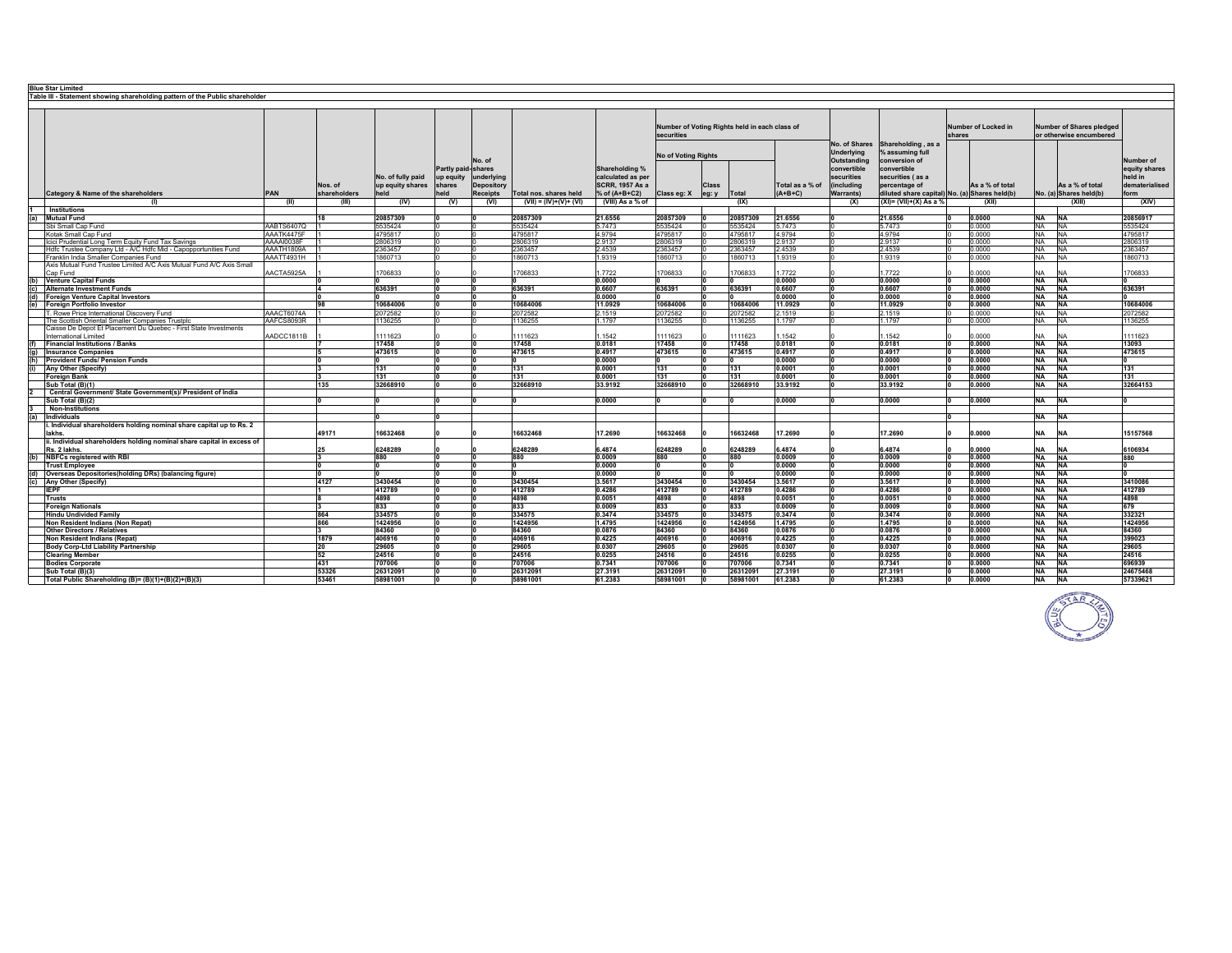|     | <b>Blue Star Limited</b>                                                     |            |              |                   |                    |                 |                         |                        |                            |       |                                               |                 |                  |                                               |        |                     |           |                                 |                       |
|-----|------------------------------------------------------------------------------|------------|--------------|-------------------|--------------------|-----------------|-------------------------|------------------------|----------------------------|-------|-----------------------------------------------|-----------------|------------------|-----------------------------------------------|--------|---------------------|-----------|---------------------------------|-----------------------|
|     | Table III - Statement showing shareholding pattern of the Public shareholder |            |              |                   |                    |                 |                         |                        |                            |       |                                               |                 |                  |                                               |        |                     |           |                                 |                       |
|     |                                                                              |            |              |                   |                    |                 |                         |                        |                            |       |                                               |                 |                  |                                               |        |                     |           |                                 |                       |
|     |                                                                              |            |              |                   |                    |                 |                         |                        |                            |       |                                               |                 |                  |                                               |        |                     |           |                                 |                       |
|     |                                                                              |            |              |                   |                    |                 |                         |                        |                            |       |                                               |                 |                  |                                               |        |                     |           |                                 |                       |
|     |                                                                              |            |              |                   |                    |                 |                         |                        |                            |       | Number of Voting Rights held in each class of |                 |                  |                                               |        | Number of Locked in |           | <b>Number of Shares pledged</b> |                       |
|     |                                                                              |            |              |                   |                    |                 |                         |                        | securities                 |       |                                               |                 |                  |                                               | shares |                     |           | or otherwise encumbered         |                       |
|     |                                                                              |            |              |                   |                    |                 |                         |                        |                            |       |                                               |                 | No. of Shares    | Shareholding, as a                            |        |                     |           |                                 |                       |
|     |                                                                              |            |              |                   |                    |                 |                         |                        |                            |       |                                               |                 | Underlying       |                                               |        |                     |           |                                 |                       |
|     |                                                                              |            |              |                   |                    |                 |                         |                        | <b>No of Voting Rights</b> |       |                                               |                 |                  | % assuming full                               |        |                     |           |                                 |                       |
|     |                                                                              |            |              |                   |                    | No. of          |                         |                        |                            |       |                                               |                 | Outstanding      | conversion of                                 |        |                     |           |                                 | Number of             |
|     |                                                                              |            |              |                   | Partly paid-shares |                 |                         | Shareholding %         |                            |       |                                               |                 | convertible      | convertible                                   |        |                     |           |                                 | equity shares         |
|     |                                                                              |            |              | No. of fully paid | up equity          | underlying      |                         | calculated as per      |                            |       |                                               |                 | securities       | securities (as a                              |        |                     |           |                                 | heid in               |
|     |                                                                              |            | Nos. of      | up equity shares  | shares             | Depository      |                         | <b>SCRR, 1957 As a</b> |                            | Class |                                               | Total as a % of | (including       | percentage of                                 |        | As a % of total     |           | As a % of total                 | <b>dematerialised</b> |
|     | Category & Name of the shareholders                                          | PAN        | shareholders | held              | held               | <b>Receipts</b> | Total nos. shares held  | % of (A+B+C2)          | Class eg: X                | eg: y | Total                                         | $(A+B+C)$       | <b>Warrants)</b> | diluted share capital) No. (a) Shares held(b) |        |                     |           | No. (a) Shares held(b)          | form                  |
|     | - CD                                                                         | (II)       | - CHIT       | (IV)              | (V)                | (VI)            | $(VII) = (IV)+(V)+(VI)$ | (VIII) As a % of       |                            |       | (IX)                                          |                 | (X)              | $(XI) = (VII)+(X) As a %$                     |        | (X  )               |           | (XIII)                          | (XIV)                 |
|     | Institutions                                                                 |            |              |                   |                    |                 |                         |                        |                            |       |                                               |                 |                  |                                               |        |                     |           |                                 |                       |
|     | <b>Mutual Fund</b>                                                           |            | 18           | 20857309          |                    |                 | 20857309                | 21.6556                | 20857309                   |       | 20857309                                      | 21.6556         |                  | 21.6556                                       |        | 0.0000              | NA NA     |                                 | 20856917              |
|     | Sbi Small Cap Fund                                                           | AABTS6407Q |              | 5535424           |                    |                 | 5535424                 | 5.7473                 | 5535424                    |       | 5535424                                       | 5.7473          |                  | 5.7473                                        |        | 0.0000              | NA NA     |                                 | 5535424               |
|     |                                                                              | AAATK4475F |              | 4795817           |                    |                 | 4795817                 | 4.9794                 |                            |       | 4795817                                       | 4.9794          |                  | 4.9794                                        |        | 0.0000              | NA NA     |                                 |                       |
|     | Kotak Small Cap Fund                                                         |            |              |                   |                    |                 |                         |                        | 4795817                    |       |                                               |                 |                  |                                               |        |                     |           |                                 | 4795817               |
|     | Icici Prudential Long Term Equity Fund Tax Savings                           | AAAAI0038F |              | 2806319           |                    |                 | 2806319                 | 2.9137                 | 2806319                    |       | 2806319                                       | 2.9137          |                  | 2.9137                                        |        | 0.0000              | NA NA     |                                 | 2806319               |
|     | Hdfc Trustee Company Ltd - A/C Hdfc Mid - Capopportunities Fund              | AAATH1809A |              | 2363457           |                    |                 | 2363457                 | 2.4539                 | 2363457                    |       | 2363457                                       | 2.4539          |                  | 2.4539                                        |        | 0.0000              | NA NA     |                                 | 2363457               |
|     | Franklin India Smaller Companies Fund                                        | AAATT4931H |              | 1860713           |                    |                 | 1860713                 | 1.9319                 | 1860713                    |       | 1860713                                       | 1.9319          |                  | 1.9319                                        |        | 0.0000              | NA NA     |                                 | 1860713               |
|     | Axis Mutual Fund Trustee Limited A/C Axis Mutual Fund A/C Axis Small         |            |              |                   |                    |                 |                         |                        |                            |       |                                               |                 |                  |                                               |        |                     |           |                                 |                       |
|     | Cap Fund                                                                     | AACTA5925A |              | 1706833           |                    |                 | 1706833                 | 1.7722                 | 1706833                    |       | 1706833                                       | 1.7722          |                  | 1.7722                                        |        | 0000.               | NA        | <b>NA</b>                       | 1706833               |
|     | (b) Venture Capital Funds                                                    |            |              |                   |                    |                 |                         | 0.0000                 |                            |       |                                               | 0.0000          |                  | 0.0000                                        |        | 0.0000              | <b>NA</b> | <b>NA</b>                       |                       |
|     | <b>Alternate Investment Funds</b>                                            |            |              | 636391            |                    |                 | 636391                  | 0.6607                 | 636391                     |       | 636391                                        | 0.6607          |                  | 0.6607                                        |        | 0.0000              | <b>NA</b> | <b>NA</b>                       | 636391                |
| (d) | Foreign Venture Capital Investors                                            |            |              |                   |                    |                 |                         | 0.0000                 |                            |       |                                               | 0.0000          |                  | 0.0000                                        |        | 0.0000              | <b>NA</b> | <b>INA</b>                      |                       |
| (e) | Foreign Portfolio Investor                                                   |            | 98           | 10684006          |                    |                 | 10684006                | 11.0929                | 10684006                   |       | 10684006                                      | 11.0929         |                  | 11.0929                                       |        | 0.0000              | <b>NA</b> | <b>NA</b>                       | 10684006              |
|     | T. Rowe Price International Discovery Fund                                   | AAACT6074A |              | 2072582           |                    |                 | 2072582                 | 2.1519                 | 2072582                    |       | 2072582                                       | 2.1519          |                  | 2.1519                                        |        | 0.0000              | <b>NA</b> | <b>NA</b>                       | 2072582               |
|     | The Scottish Oriental Smaller Companies Trustplo                             | AAFCS8093R |              | 1136255           |                    |                 | 1136255                 | 1.1797                 | 1136255                    |       | 1136255                                       | 1.1797          |                  | 1.1797                                        |        | 0.0000              | <b>NA</b> | <b>NA</b>                       | 1136255               |
|     | Caisse De Depot Et Placement Du Quebec - First State Investments             |            |              |                   |                    |                 |                         |                        |                            |       |                                               |                 |                  |                                               |        |                     |           |                                 |                       |
|     | International Limited                                                        | AADCC1811B |              | 1111623           |                    |                 | 1111623                 | 1.1542                 | 1111623                    |       | 1111623                                       | 1.1542          |                  | .1542                                         |        | 0.0000              | <b>NA</b> | <b>NA</b>                       | 1111623               |
|     | <b>Financial Institutions / Banks</b>                                        |            |              | 17458             |                    |                 | 17458                   | 0.0181                 | 17458                      |       | 17458                                         | 0.0181          |                  | 0.0181                                        |        | 0.0000              | <b>NA</b> | <b>NA</b>                       | 13093                 |
|     | <b>Insurance Companies</b>                                                   |            |              | 473615            |                    |                 | 473615                  | 0.4917                 | 473615                     |       | 473615                                        | 0.4917          |                  | 0.4917                                        |        | 0.0000              | <b>NA</b> | <b>INA</b>                      | 473615                |
|     | <b>Provident Funds/ Pension Funds</b>                                        |            |              |                   |                    |                 |                         | 0.0000                 |                            |       |                                               | 0.0000          |                  | 0.0000                                        |        | 0.0000              | <b>NA</b> | <b>TNA</b>                      |                       |
|     | Any Other (Specify)                                                          |            |              | 131               |                    |                 | 131                     | 0.0001                 | 131                        |       | 131                                           | 0.0001          |                  | 0.0001                                        |        | 0.0000              | NA NA     |                                 | 131                   |
|     | <b>Foreign Bank</b>                                                          |            |              | 131               |                    |                 | 131                     | 0.0001                 | 131                        |       | 131                                           | 0.0001          |                  | 0.0001                                        |        | 0.0000              | NA NA     |                                 | 131                   |
|     | Sub Total (B)(1)                                                             |            | 135          | 32668910          |                    |                 | 32668910                | 33.9192                | 32668910                   |       | 32668910                                      | 33,9192         |                  | 33.9192                                       |        | 0.0000              | NA NA     |                                 | 32664153              |
|     |                                                                              |            |              |                   |                    |                 |                         |                        |                            |       |                                               |                 |                  |                                               |        |                     |           |                                 |                       |
|     | Central Government/ State Government(s)/ President of India                  |            |              |                   |                    |                 |                         |                        |                            |       |                                               |                 |                  |                                               |        |                     |           |                                 |                       |
|     | Sub Total (B)(2)                                                             |            |              |                   |                    |                 |                         | 0.0000                 |                            |       |                                               | 0.0000          |                  | 0.0000                                        |        | 0.0000              | NA NA     |                                 |                       |
|     | <b>Non-Institutions</b>                                                      |            |              |                   |                    |                 |                         |                        |                            |       |                                               |                 |                  |                                               |        |                     |           |                                 |                       |
| (a) | Individuals                                                                  |            |              |                   |                    |                 |                         |                        |                            |       |                                               |                 |                  |                                               |        |                     | NA NA     |                                 |                       |
|     | Individual shareholders holding nominal share capital up to Rs. 2            |            |              |                   |                    |                 |                         |                        |                            |       |                                               |                 |                  |                                               |        |                     |           |                                 |                       |
|     | lakhs.                                                                       |            | 49171        | 16632468          |                    |                 | 16632468                | 17.2690                | 16632468                   |       | 16632468                                      | 17.2690         |                  | 17.2690                                       |        | 0.0000              | <b>NA</b> | <b>NA</b>                       | 15157568              |
|     | ii. Individual shareholders holding nominal share capital in excess of       |            |              |                   |                    |                 |                         |                        |                            |       |                                               |                 |                  |                                               |        |                     |           |                                 |                       |
|     | Rs. 2 lakhs.                                                                 |            | 25           | 6248289           |                    |                 | 6248289                 | 6.4874                 | 6248289                    |       | 6248289                                       | 6.4874          |                  | 6.4874                                        |        | 0.0000              | NA        | <b>NA</b>                       | 6106934               |
|     | (b) NBFCs registered with RBI                                                |            |              | 880               |                    |                 | 880                     | 0.0009                 | 880                        |       | 880                                           | 0.0009          |                  | 0.0009                                        |        | 0.0000              | <b>NA</b> | <b>NA</b>                       | 880                   |
|     | <b>Trust Employee</b>                                                        |            |              |                   |                    |                 |                         | 0.0000                 |                            |       |                                               | 0.0000          |                  | 0.0000                                        |        | 0.0000              | NA NA     |                                 |                       |
|     | Overseas Depositories(holding DRs) (balancing figure)                        |            |              |                   |                    |                 |                         | 0.0000                 |                            |       |                                               | 0.0000          |                  | 0.0000                                        |        | 0.0000              | <b>NA</b> | <b>TNA</b>                      |                       |
|     | (c) Any Other (Specify)                                                      |            | 4127         | 3430454           |                    |                 | 3430454                 | 3.5617                 | 3430454                    |       | 3430454                                       | 3.5617          |                  | 3.5617                                        |        | 0.0000              | <b>NA</b> | <b>INA</b>                      | 3410086               |
|     | <b>IEPF</b>                                                                  |            |              | 412789            |                    |                 | 412789                  | 0.4286                 | 412789                     |       | 412789                                        | 0.4286          |                  | 0.4286                                        |        | 0.0000              | <b>NA</b> | <b>NA</b>                       | 412789                |
|     | <b>Trusts</b>                                                                |            |              | 4898              |                    |                 | 4898                    | 0.0051                 | 4898                       |       | 4898                                          | 0.0051          |                  | 0.0051                                        |        | 0.0000              | <b>NA</b> | <b>NA</b>                       | 4898                  |
|     |                                                                              |            |              | 833               |                    |                 | 833                     |                        | 833                        |       | 833                                           | 0.0009          |                  | 0.0009                                        |        | 0.0000              | <b>NA</b> | <b>NA</b>                       | 679                   |
|     | <b>Foreign Nationals</b>                                                     |            | 864          | 334575            |                    |                 |                         | 0.0009<br>0.3474       | 334575                     |       | 334575                                        | 0.3474          |                  | 0.3474                                        |        | 0.0000              | NA NA     |                                 | 332321                |
|     | <b>Hindu Undivided Family</b>                                                |            |              |                   |                    |                 | 334575                  |                        |                            |       |                                               |                 | ١o               |                                               |        |                     |           |                                 |                       |
|     | Non Resident Indians (Non Repat)                                             |            | 866          | 1424956           |                    |                 | 1424956                 | 1.4795                 | 1424956                    |       | 1424956                                       | 1.4795          |                  | 1.4795                                        |        | 0.0000              | <b>NA</b> | <b>INA</b>                      | 1424956               |
|     | <b>Other Directors / Relatives</b>                                           |            | 3            | 84360             |                    |                 | 84360                   | 0.0876                 | 84360                      |       | 84360                                         | 0.0876          |                  | 0.0876                                        |        | 0.0000              | NA NA     |                                 | 84360                 |
|     | Non Resident Indians (Repat)                                                 |            | 1879         | 406916            |                    |                 | 406916                  | 0.4225                 | 406916                     |       | 406916                                        | 0.4225          |                  | 0.4225                                        |        | 0.0000              | <b>NA</b> | <b>INA</b>                      | 399023                |
|     | <b>Body Corp-Ltd Liability Partnership</b>                                   |            | 20           | 29605             |                    |                 | 29605                   | 0.0307                 | 29605                      |       | 29605                                         | 0.0307          |                  | 0.0307                                        |        | 0.0000              | NA NA     |                                 | 29605                 |
|     | <b>Clearing Member</b>                                                       |            | 52           | 24516             |                    |                 | 24516                   | 0.0255                 | 24516                      |       | 24516                                         | 0.0255          |                  | 0.0255                                        |        | 0.0000              | <b>NA</b> | <b>INA</b>                      | 24516                 |
|     | <b>Bodies Corporate</b>                                                      |            | 431          | 707006            |                    |                 | 707006                  | 0.7341                 | 707006                     |       | 707006                                        | 0.7341          |                  | 0.7341                                        |        | 0.0000              | <b>NA</b> | <b>INA</b>                      | 696939                |
|     | Sub Total (B)(3)                                                             |            | 53326        | 2631209           |                    |                 | 2631209                 | 27.319                 | 2631209                    |       | 2631209                                       | 27,3191         |                  | 27.319                                        |        | 0.0000              | NA NA     |                                 | 2467546               |
|     | Total Public Shareholding (B)= (B)(1)+(B)(2)+(B)(3)                          |            | 53461        | 58981001          |                    |                 | 58981001                | 61.2383                | 58981001                   |       | 58981001                                      | 61.2383         |                  | 61.2383                                       |        | 0.0000              | <b>NA</b> | <b>NA</b>                       | 57339621              |

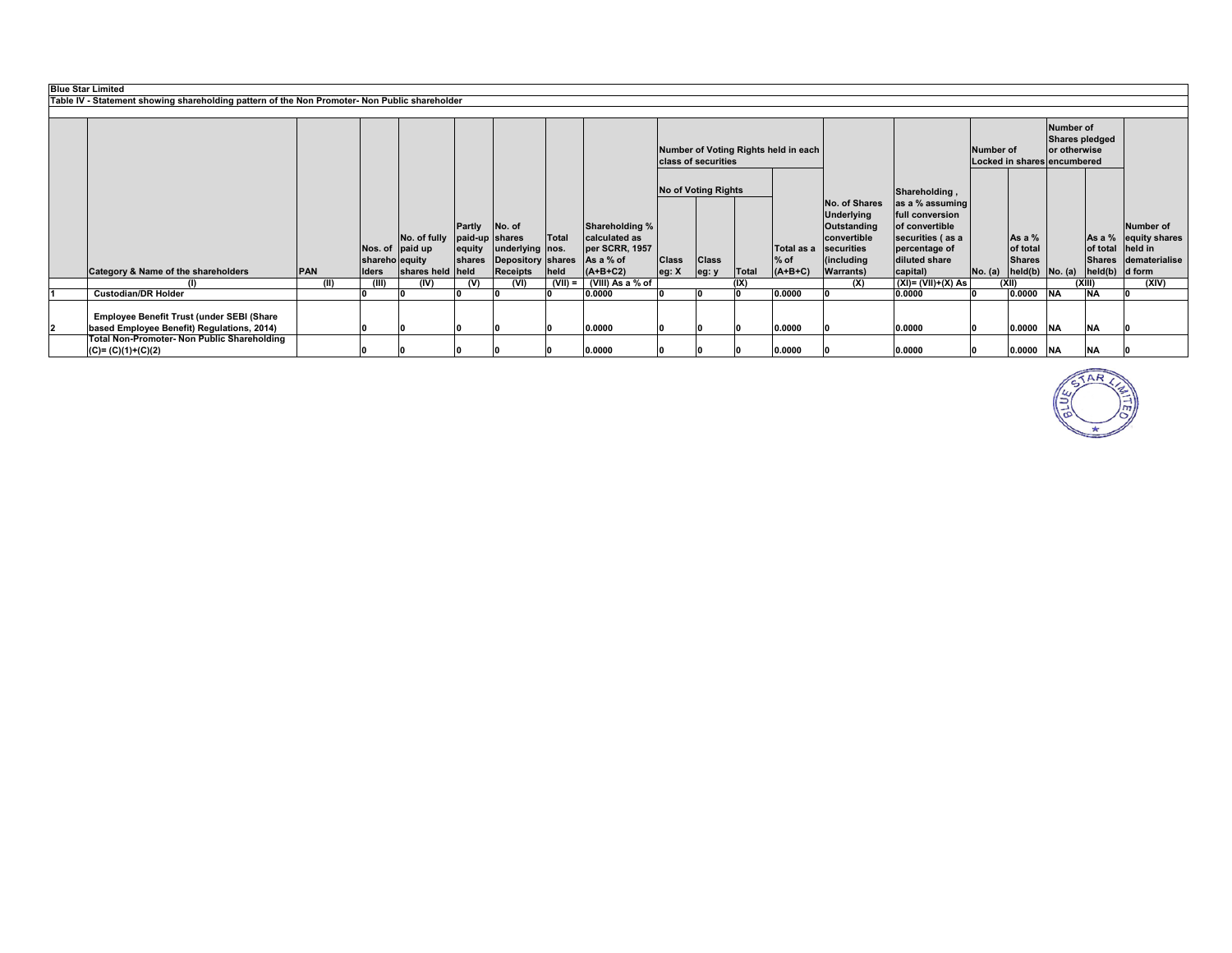| <b>Blue Star Limited</b>                                                                      |            |                         |                  |                  |                                             |           |                             |                                                             |                     |       |            |                          |                                |         |                                                                                   |            |                      |                                 |
|-----------------------------------------------------------------------------------------------|------------|-------------------------|------------------|------------------|---------------------------------------------|-----------|-----------------------------|-------------------------------------------------------------|---------------------|-------|------------|--------------------------|--------------------------------|---------|-----------------------------------------------------------------------------------|------------|----------------------|---------------------------------|
| Table IV - Statement showing shareholding pattern of the Non Promoter- Non Public shareholder |            |                         |                  |                  |                                             |           |                             |                                                             |                     |       |            |                          |                                |         |                                                                                   |            |                      |                                 |
|                                                                                               |            |                         |                  |                  |                                             |           |                             |                                                             |                     |       |            |                          |                                |         |                                                                                   |            |                      |                                 |
|                                                                                               |            |                         |                  |                  |                                             |           |                             | Number of Voting Rights held in each<br>class of securities |                     |       |            |                          | Number of                      |         | Number of<br><b>Shares pledged</b><br>or otherwise<br>Locked in shares encumbered |            |                      |                                 |
|                                                                                               |            |                         |                  |                  |                                             |           |                             |                                                             | No of Voting Rights |       |            |                          | Shareholding,                  |         |                                                                                   |            |                      |                                 |
|                                                                                               |            |                         |                  |                  |                                             |           |                             |                                                             |                     |       |            | No. of Shares            | as a % assuming                |         |                                                                                   |            |                      |                                 |
|                                                                                               |            |                         |                  |                  |                                             |           |                             |                                                             |                     |       |            | <b>Underlying</b>        | full conversion                |         |                                                                                   |            |                      |                                 |
|                                                                                               |            |                         |                  | Partly           | No. of                                      |           | Shareholding %              |                                                             |                     |       |            | Outstanding              | of convertible                 |         |                                                                                   |            |                      | Number of                       |
|                                                                                               |            |                         | No. of fully     | paid-up shares   |                                             | Total     | calculated as               |                                                             |                     |       | Total as a | convertible              | securities (as a               |         | As a $%$                                                                          |            | As a $%$<br>of total | equity shares                   |
|                                                                                               |            |                         | Nos. of paid up  | equity<br>shares | underlying nos.                             |           | per SCRR, 1957<br>As a % of | <b>Class</b>                                                | <b>Class</b>        |       | $%$ of     | securities<br>(including | percentage of<br>diluted share |         | of total<br><b>Shares</b>                                                         |            |                      | held in<br>Shares dematerialise |
| Category & Name of the shareholders                                                           | <b>PAN</b> | shareho equity<br>Iders | shares held held |                  | <b>Depository shares</b><br><b>Receipts</b> | held      | $(A+B+C2)$                  | eg: X                                                       | eg: y               | Total | $(A+B+C)$  | <b>Warrants</b> )        | capital)                       | No. (a) | $held(b)$ No. $(a)$                                                               |            | held(b) d form       |                                 |
|                                                                                               | (II)       | (III)                   | (IV)             | (V)              | (VI)                                        | $(VII) =$ | (VIII) As a % of            |                                                             |                     | (IX)  |            | (X)                      | $(XI) = (VII)+(X) As$          |         | (X  )                                                                             |            | (XIII)               | (XIV)                           |
| <b>Custodian/DR Holder</b>                                                                    |            |                         |                  |                  |                                             |           | 0.0000                      |                                                             | l0.                 |       | 0.0000     |                          | 0.0000                         |         | 0.0000                                                                            | <b>NA</b>  | <b>INA</b>           |                                 |
|                                                                                               |            |                         |                  |                  |                                             |           |                             |                                                             |                     |       |            |                          |                                |         |                                                                                   |            |                      |                                 |
| Employee Benefit Trust (under SEBI (Share                                                     |            |                         |                  |                  |                                             |           |                             |                                                             |                     |       |            |                          |                                |         |                                                                                   |            |                      |                                 |
| based Employee Benefit) Regulations, 2014)                                                    |            |                         |                  |                  |                                             |           | 0.0000                      |                                                             |                     |       | 0.0000     |                          | 0.0000                         |         | 0.0000                                                                            | <b>NA</b>  | <b>NA</b>            |                                 |
| <b>Total Non-Promoter- Non Public Shareholding</b>                                            |            |                         |                  |                  |                                             |           |                             |                                                             |                     |       |            |                          |                                |         |                                                                                   |            |                      |                                 |
| $(C) = (C)(1)+(C)(2)$                                                                         |            |                         |                  |                  |                                             |           | 0.0000                      |                                                             |                     |       | 0.0000     |                          | 0.0000                         |         | 0.0000                                                                            | <b>INA</b> | <b>NA</b>            |                                 |